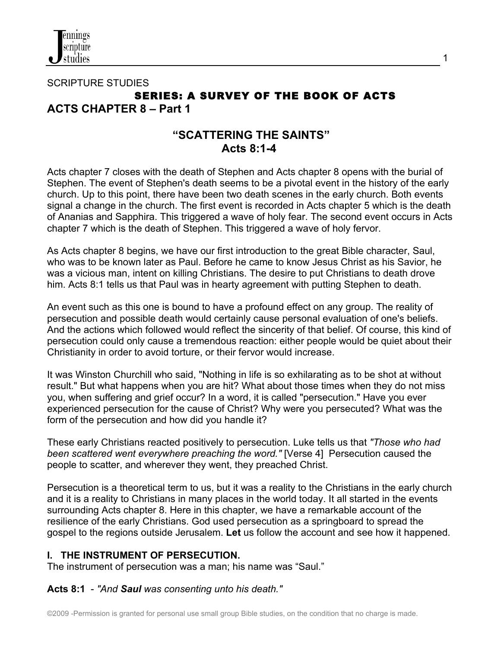

## SCRIPTURE STUDIES **SERIES: A SURVEY OF THE BOOK OF ACTS ACTS CHAPTER 8 – Part 1**

# **"SCATTERING THE SAINTS" Acts 8:1-4**

Acts chapter 7 closes with the death of Stephen and Acts chapter 8 opens with the burial of Stephen. The event of Stephen's death seems to be a pivotal event in the history of the early church. Up to this point, there have been two death scenes in the early church. Both events signal a change in the church. The first event is recorded in Acts chapter 5 which is the death of Ananias and Sapphira. This triggered a wave of holy fear. The second event occurs in Acts chapter 7 which is the death of Stephen. This triggered a wave of holy fervor.

As Acts chapter 8 begins, we have our first introduction to the great Bible character, Saul, who was to be known later as Paul. Before he came to know Jesus Christ as his Savior, he was a vicious man, intent on killing Christians. The desire to put Christians to death drove him. Acts 8:1 tells us that Paul was in hearty agreement with putting Stephen to death.

An event such as this one is bound to have a profound effect on any group. The reality of persecution and possible death would certainly cause personal evaluation of one's beliefs. And the actions which followed would reflect the sincerity of that belief. Of course, this kind of persecution could only cause a tremendous reaction: either people would be quiet about their Christianity in order to avoid torture, or their fervor would increase.

It was Winston Churchill who said, "Nothing in life is so exhilarating as to be shot at without result." But what happens when you are hit? What about those times when they do not miss you, when suffering and grief occur? In a word, it is called "persecution." Have you ever experienced persecution for the cause of Christ? Why were you persecuted? What was the form of the persecution and how did you handle it?

These early Christians reacted positively to persecution. Luke tells us that *"Those who had been scattered went everywhere preaching the word."* [Verse 4] Persecution caused the people to scatter, and wherever they went, they preached Christ.

Persecution is a theoretical term to us, but it was a reality to the Christians in the early church and it is a reality to Christians in many places in the world today. It all started in the events surrounding Acts chapter 8. Here in this chapter, we have a remarkable account of the resilience of the early Christians. God used persecution as a springboard to spread the gospel to the regions outside Jerusalem. **Let** us follow the account and see how it happened.

#### **I. THE INSTRUMENT OF PERSECUTION.**

The instrument of persecution was a man; his name was "Saul."

#### **Acts 8:1** - *"And Saul was consenting unto his death."*

1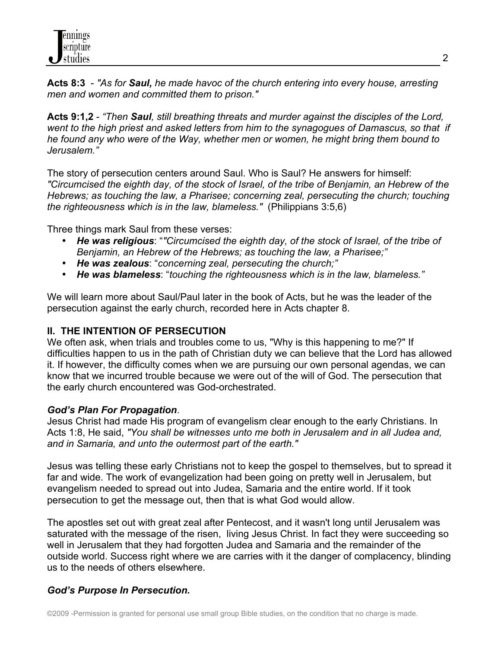**Acts 8:3** - *"As for Saul, he made havoc of the church entering into every house, arresting men and women and committed them to prison."*

**Acts 9:1,2** - *"Then Saul, still breathing threats and murder against the disciples of the Lord, went to the high priest and asked letters from him to the synagogues of Damascus, so that if he found any who were of the Way, whether men or women, he might bring them bound to Jerusalem."* 

The story of persecution centers around Saul. Who is Saul? He answers for himself: *"Circumcised the eighth day, of the stock of Israel, of the tribe of Benjamin, an Hebrew of the Hebrews; as touching the law, a Pharisee; concerning zeal, persecuting the church; touching the righteousness which is in the law, blameless."* (Philippians 3:5,6)

Three things mark Saul from these verses:

- *He was religious*: "*"Circumcised the eighth day, of the stock of Israel, of the tribe of Benjamin, an Hebrew of the Hebrews; as touching the law, a Pharisee;"*
- *He was zealous*: "*concerning zeal, persecuting the church;"*
- *He was blameless*: "*touching the righteousness which is in the law, blameless."*

We will learn more about Saul/Paul later in the book of Acts, but he was the leader of the persecution against the early church, recorded here in Acts chapter 8.

#### **II. THE INTENTION OF PERSECUTION**

We often ask, when trials and troubles come to us, "Why is this happening to me?" If difficulties happen to us in the path of Christian duty we can believe that the Lord has allowed it. If however, the difficulty comes when we are pursuing our own personal agendas, we can know that we incurred trouble because we were out of the will of God. The persecution that the early church encountered was God-orchestrated.

#### *God's Plan For Propagation*.

Jesus Christ had made His program of evangelism clear enough to the early Christians. In Acts 1:8, He said, *"You shall be witnesses unto me both in Jerusalem and in all Judea and, and in Samaria, and unto the outermost part of the earth."*

Jesus was telling these early Christians not to keep the gospel to themselves, but to spread it far and wide. The work of evangelization had been going on pretty well in Jerusalem, but evangelism needed to spread out into Judea, Samaria and the entire world. If it took persecution to get the message out, then that is what God would allow.

The apostles set out with great zeal after Pentecost, and it wasn't long until Jerusalem was saturated with the message of the risen, living Jesus Christ. In fact they were succeeding so well in Jerusalem that they had forgotten Judea and Samaria and the remainder of the outside world. Success right where we are carries with it the danger of complacency, blinding us to the needs of others elsewhere.

#### *God's Purpose In Persecution.*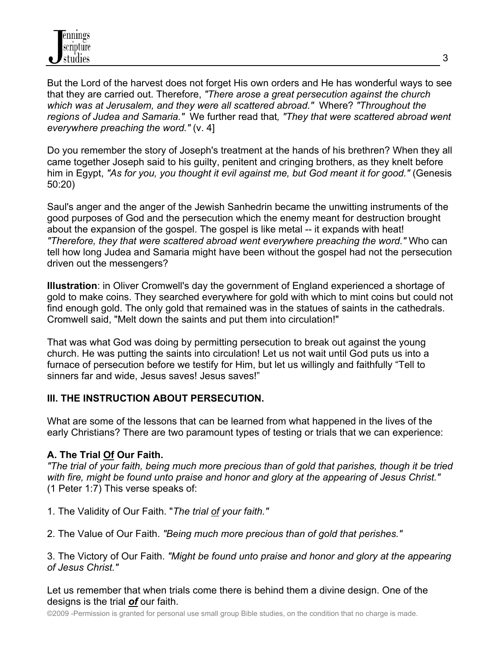

But the Lord of the harvest does not forget His own orders and He has wonderful ways to see that they are carried out. Therefore, *"There arose a great persecution against the church which was at Jerusalem, and they were all scattered abroad."* Where? *"Throughout the regions of Judea and Samaria."* We further read that*, "They that were scattered abroad went everywhere preaching the word."* (v. 4]

Do you remember the story of Joseph's treatment at the hands of his brethren? When they all came together Joseph said to his guilty, penitent and cringing brothers, as they knelt before him in Egypt, *"As for you, you thought it evil against me, but God meant it for good."* (Genesis 50:20)

Saul's anger and the anger of the Jewish Sanhedrin became the unwitting instruments of the good purposes of God and the persecution which the enemy meant for destruction brought about the expansion of the gospel. The gospel is like metal -- it expands with heat! *"Therefore, they that were scattered abroad went everywhere preaching the word."* Who can tell how long Judea and Samaria might have been without the gospel had not the persecution driven out the messengers?

**Illustration**: in Oliver Cromwell's day the government of England experienced a shortage of gold to make coins. They searched everywhere for gold with which to mint coins but could not find enough gold. The only gold that remained was in the statues of saints in the cathedrals. Cromwell said, "Melt down the saints and put them into circulation!"

That was what God was doing by permitting persecution to break out against the young church. He was putting the saints into circulation! Let us not wait until God puts us into a furnace of persecution before we testify for Him, but let us willingly and faithfully "Tell to sinners far and wide, Jesus saves! Jesus saves!"

#### **III. THE INSTRUCTION ABOUT PERSECUTION.**

What are some of the lessons that can be learned from what happened in the lives of the early Christians? There are two paramount types of testing or trials that we can experience:

#### **A. The Trial Of Our Faith.**

*"The trial of your faith, being much more precious than of gold that parishes, though it be tried with fire, might be found unto praise and honor and glory at the appearing of Jesus Christ."*  (1 Peter 1:7) This verse speaks of:

- 1. The Validity of Our Faith. "*The trial of your faith."*
- 2. The Value of Our Faith. *"Being much more precious than of gold that perishes."*

3. The Victory of Our Faith. *"Might be found unto praise and honor and glory at the appearing of Jesus Christ."*

Let us remember that when trials come there is behind them a divine design. One of the designs is the trial *of* our faith.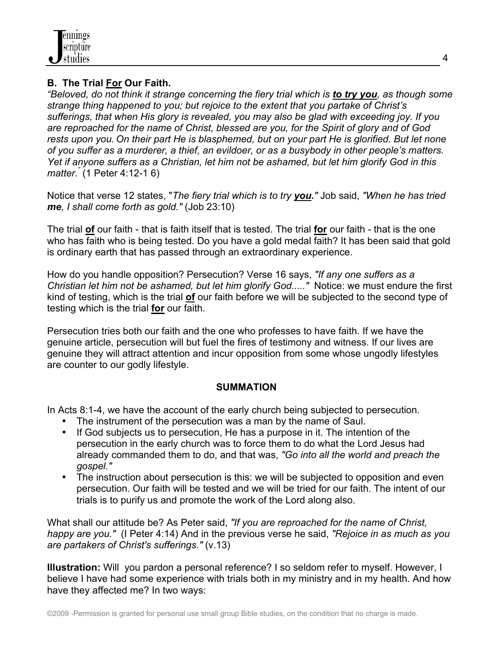### **B. The Trial For Our Faith.**

*"Beloved, do not think it strange concerning the fiery trial which is to try you, as though some strange thing happened to you; but rejoice to the extent that you partake of Christ's sufferings, that when His glory is revealed, you may also be glad with exceeding joy. If you are reproached for the name of Christ, blessed are you, for the Spirit of glory and of God rests upon you. On their part He is blasphemed, but on your part He is glorified. But let none of you suffer as a murderer, a thief, an evildoer, or as a busybody in other people's matters. Yet if anyone suffers as a Christian, let him not be ashamed, but let him glorify God in this matter."* (1 Peter 4:12-1 6)

Notice that verse 12 states, "*The fiery trial which is to try you."* Job said, *"When he has tried me, I shall come forth as gold."* (Job 23:10)

The trial **of** our faith - that is faith itself that is tested. The trial **for** our faith - that is the one who has faith who is being tested. Do you have a gold medal faith? It has been said that gold is ordinary earth that has passed through an extraordinary experience.

How do you handle opposition? Persecution? Verse 16 says, *"If any one suffers as a Christian let him not be ashamed, but let him glorify God....."* Notice: we must endure the first kind of testing, which is the trial **of** our faith before we will be subjected to the second type of testing which is the trial **for** our faith.

Persecution tries both our faith and the one who professes to have faith. If we have the genuine article, persecution will but fuel the fires of testimony and witness. If our lives are genuine they will attract attention and incur opposition from some whose ungodly lifestyles are counter to our godly lifestyle.

#### **SUMMATION**

In Acts 8:1-4, we have the account of the early church being subjected to persecution.

- The instrument of the persecution was a man by the name of Saul.
- If God subjects us to persecution, He has a purpose in it. The intention of the persecution in the early church was to force them to do what the Lord Jesus had already commanded them to do, and that was, *"Go into all the world and preach the gospel."*
- The instruction about persecution is this: we will be subjected to opposition and even persecution. Our faith will be tested and we will be tried for our faith. The intent of our trials is to purify us and promote the work of the Lord along also.

What shall our attitude be? As Peter said, *"If you are reproached for the name of Christ, happy are you."* (I Peter 4:14) And in the previous verse he said, *"Rejoice in as much as you are partakers of Christ's sufferings."* (v.13)

**Illustration:** Will you pardon a personal reference? I so seldom refer to myself. However, I believe I have had some experience with trials both in my ministry and in my health. And how have they affected me? In two ways: